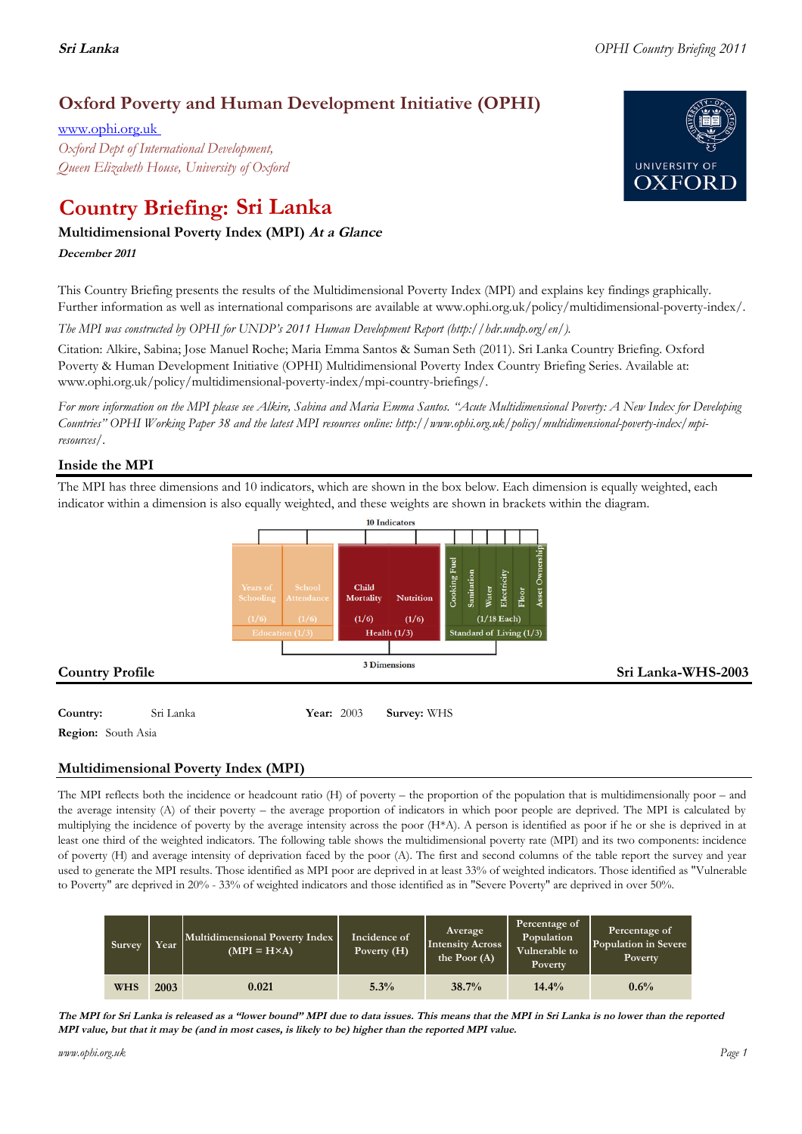## **Oxford Poverty and Human Development Initiative (OPHI)**

www.ophi.org.uk *Oxford Dept of International Development, Queen Elizabeth House, University of Oxford*

# **Country Briefing: Sri Lanka**

### **Multidimensional Poverty Index (MPI) At <sup>a</sup> Glance**

**December <sup>2011</sup>**

This Country Briefing presents the results of the Multidimensional Poverty Index (MPI) and explains key findings graphically. Further information as well as international comparisons are available at www.ophi.org.uk/policy/multidimensional-poverty-index/.

*The MPI was constructed by OPHI for UNDP's 2011 Human Development Report (http://hdr.undp.org/en/).*

Citation: Alkire, Sabina; Jose Manuel Roche; Maria Emma Santos & Suman Seth (2011). Sri Lanka Country Briefing. Oxford Poverty & Human Development Initiative (OPHI) Multidimensional Poverty Index Country Briefing Series. Available at: www.ophi.org.uk/policy/multidimensional-poverty-index/mpi-country-briefings/.

*For more information on the MPI please see Alkire, Sabina and Maria Emma Santos. "Acute Multidimensional Poverty: A New Index for Developing Countries" OPHI Working Paper 38 and the latest MPI resources online: http://www.ophi.org.uk/policy/multidimensional-poverty-index/mpiresources/.*

### **Inside the MPI**

The MPI has three dimensions and 10 indicators, which are shown in the box below. Each dimension is equally weighted, each indicator within a dimension is also equally weighted, and these weights are shown in brackets within the diagram.



**Country:** 3 Sri Lanka 88 **Year:** 2003 **Survey:** WHS

**Region:** South Asia

### **Multidimensional Poverty Index (MPI)**

The MPI reflects both the incidence or headcount ratio (H) of poverty – the proportion of the population that is multidimensionally poor – and the average intensity (A) of their poverty – the average proportion of indicators in which poor people are deprived. The MPI is calculated by multiplying the incidence of poverty by the average intensity across the poor (H\*A). A person is identified as poor if he or she is deprived in at least one third of the weighted indicators. The following table shows the multidimensional poverty rate (MPI) and its two components: incidence of poverty (H) and average intensity of deprivation faced by the poor (A). The first and second columns of the table report the survey and year used to generate the MPI results. Those identified as MPI poor are deprived in at least 33% of weighted indicators. Those identified as "Vulnerable to Poverty" are deprived in 20% - 33% of weighted indicators and those identified as in "Severe Poverty" are deprived in over 50%.

| Survey     | Year | Multidimensional Poverty Index<br>$(MPI = H \times A)$ | Incidence of<br>Poverty (H) | <b>Average</b><br><b>Intensity Across</b><br>the Poor $(A)$ | Percentage of<br>Population<br>Vulnerable to<br>Poverty | Percentage of<br>Population in Severe<br><b>Poverty</b> |
|------------|------|--------------------------------------------------------|-----------------------------|-------------------------------------------------------------|---------------------------------------------------------|---------------------------------------------------------|
| <b>WHS</b> | 2003 | 0.021                                                  | 5.3%                        | 38.7%                                                       | 14.4%                                                   | 0.6%                                                    |

The MPI for Sri Lanka is released as a "lower bound" MPI due to data issues. This means that the MPI in Sri Lanka is no lower than the reported MPI value, but that it may be (and in most cases, is likely to be) higher than the reported MPI value.

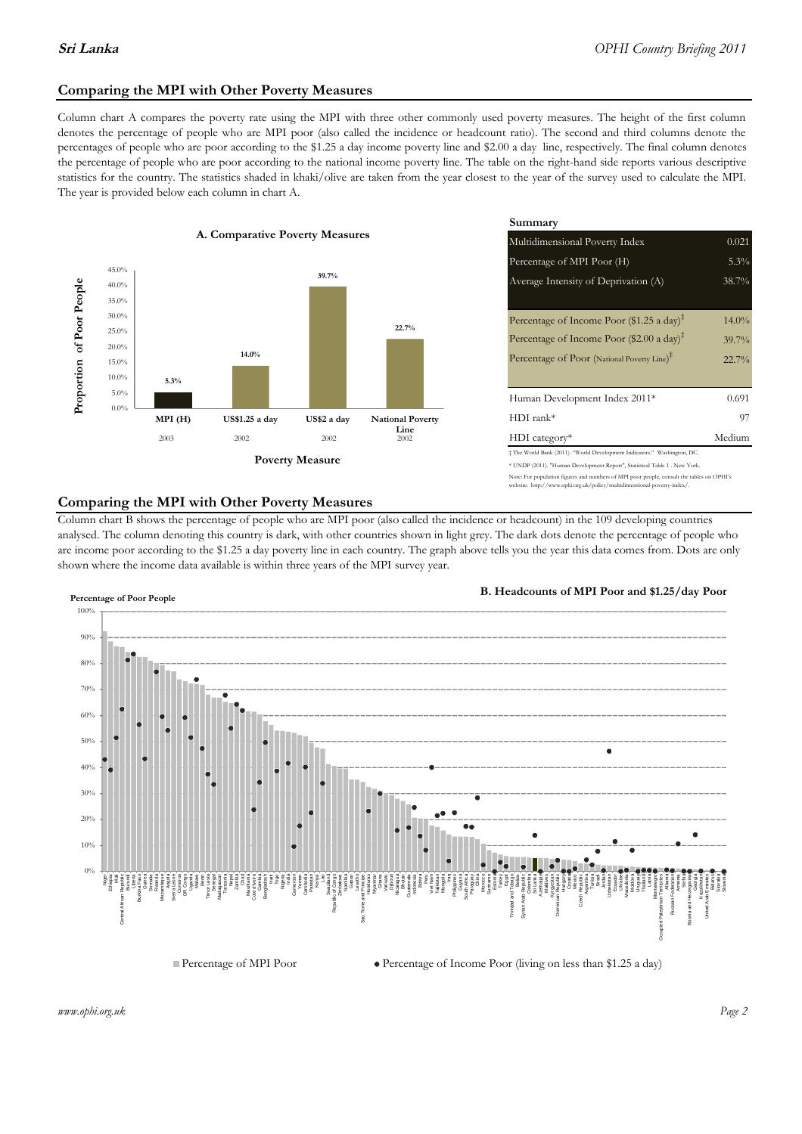### **Comparing the MPI with Other Poverty Measures**

Column chart A compares the poverty rate using the MPI with three other commonly used poverty measures. The height of the first column denotes the percentage of people who are MPI poor (also called the incidence or headcount ratio). The second and third columns denote the percentages of people who are poor according to the \$1.25 a day income poverty line and \$2.00 a day line, respectively. The final column denotes the percentage of people who are poor according to the national income poverty line. The table on the right-hand side reports various descriptive statistics for the country. The statistics shaded in khaki/olive are taken from the year closest to the year of the survey used to calculate the MPI. The year is provided below each column in chart A.



|                                        |              | Summary                                                                                                                                                    |          |  |  |
|----------------------------------------|--------------|------------------------------------------------------------------------------------------------------------------------------------------------------------|----------|--|--|
| erty Measures                          |              | 0.021<br>Multidimensional Poverty Index                                                                                                                    |          |  |  |
|                                        |              | Percentage of MPI Poor (H)                                                                                                                                 | 5.3%     |  |  |
| 39.7%                                  |              | Average Intensity of Deprivation (A)                                                                                                                       | 38.7%    |  |  |
|                                        |              | Percentage of Income Poor (\$1.25 a day) <sup><math>\ddagger</math></sup>                                                                                  | $14.0\%$ |  |  |
|                                        | 22.7%        | Percentage of Income Poor (\$2.00 a day) <sup><math>\bar{x}</math></sup>                                                                                   | 39.7%    |  |  |
|                                        |              | Percentage of Poor (National Poverty Line) <sup>#</sup>                                                                                                    | $22.7\%$ |  |  |
|                                        |              | Human Development Index 2011*                                                                                                                              | 0.691    |  |  |
| US\$2 a day<br><b>National Poverty</b> |              | $HDI$ rank*                                                                                                                                                | 97       |  |  |
| 2002                                   | Line<br>2002 | $HDI category*$                                                                                                                                            | Medium   |  |  |
| <b>⁄Ieasure</b>                        |              | $\pm$ The World Bank (2011). "World Development Indicators." Washington, DC.<br>* UNDP (2011). "Human Development Report", Statistical Table 1 . New York. |          |  |  |

te: For population figures and numbers of MPI poor people, consult the tables on OPHI's te: http://www.ophi.org.uk/policy/multidimensional-poverty-index/

### **Comparing the MPI with Other Poverty Measures**

Column chart B shows the percentage of people who are MPI poor (also called the incidence or headcount) in the 109 developing countries analysed. The column denoting this country is dark, with other countries shown in light grey. The dark dots denote the percentage of people who are income poor according to the \$1.25 a day poverty line in each country. The graph above tells you the year this data comes from. Dots are only shown where the income data available is within three years of the MPI survey year.



**B. Headcounts of MPI Poor and \$1.25/day Poor**



 $\bullet$  Percentage of Income Poor (living on less than \$1.25 a day)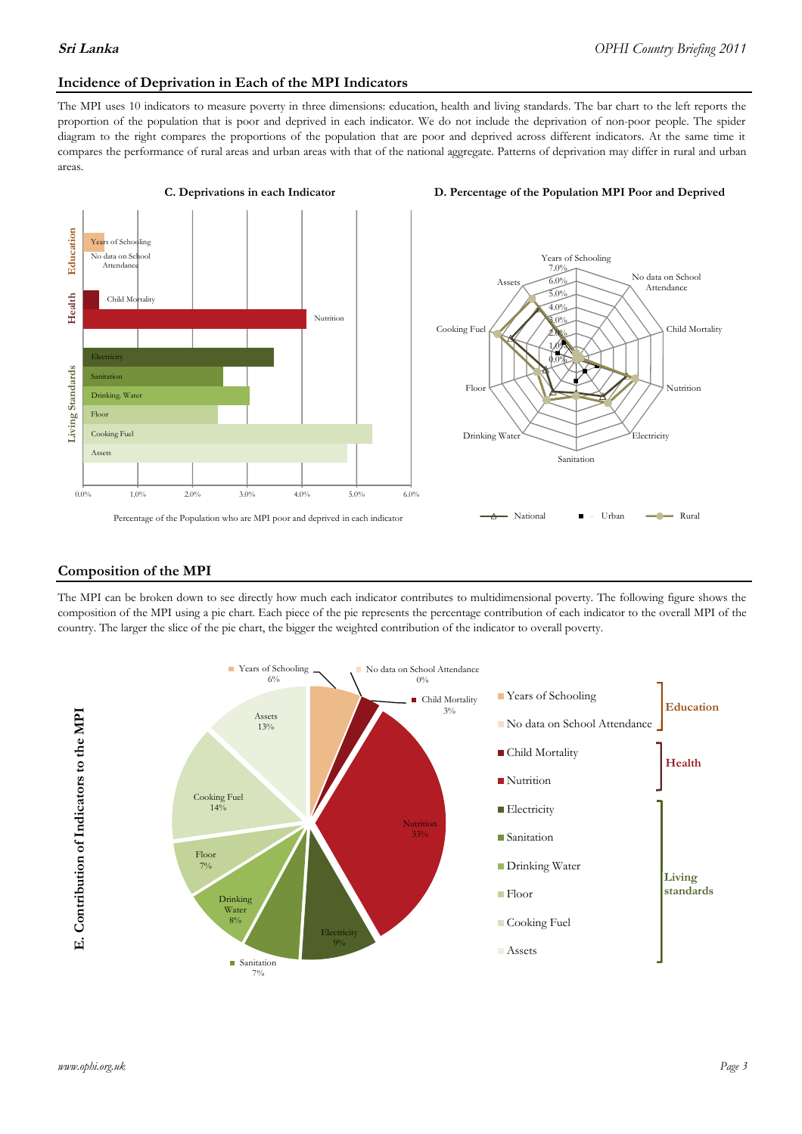### **Incidence of Deprivation in Each of the MPI Indicators**

The MPI uses 10 indicators to measure poverty in three dimensions: education, health and living standards. The bar chart to the left reports the proportion of the population that is poor and deprived in each indicator. We do not include the deprivation of non-poor people. The spider diagram to the right compares the proportions of the population that are poor and deprived across different indicators. At the same time it compares the performance of rural areas and urban areas with that of the national aggregate. Patterns of deprivation may differ in rural and urban areas.





### **Composition of the MPI**

The MPI can be broken down to see directly how much each indicator contributes to multidimensional poverty. The following figure shows the composition of the MPI using a pie chart. Each piece of the pie represents the percentage contribution of each indicator to the overall MPI of the country. The larger the slice of the pie chart, the bigger the weighted contribution of the indicator to overall poverty.